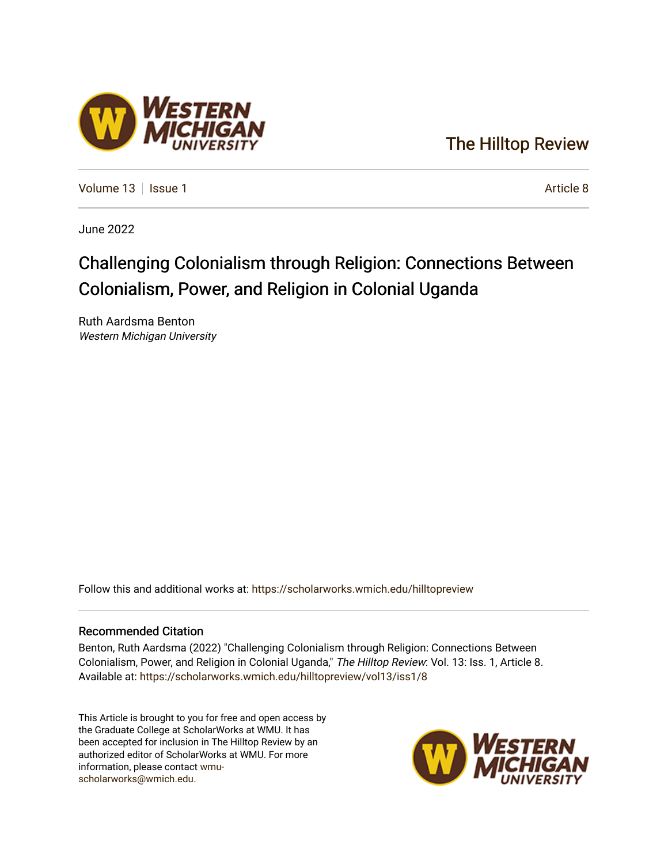### [The Hilltop Review](https://scholarworks.wmich.edu/hilltopreview)

[Volume 13](https://scholarworks.wmich.edu/hilltopreview/vol13) | [Issue 1](https://scholarworks.wmich.edu/hilltopreview/vol13/iss1) Article 8

June 2022

## Challenging Colonialism through Religion: Connections Between Colonialism, Power, and Religion in Colonial Uganda

Ruth Aardsma Benton Western Michigan University

Follow this and additional works at: [https://scholarworks.wmich.edu/hilltopreview](https://scholarworks.wmich.edu/hilltopreview?utm_source=scholarworks.wmich.edu%2Fhilltopreview%2Fvol13%2Fiss1%2F8&utm_medium=PDF&utm_campaign=PDFCoverPages)

#### Recommended Citation

Benton, Ruth Aardsma (2022) "Challenging Colonialism through Religion: Connections Between Colonialism, Power, and Religion in Colonial Uganda," The Hilltop Review: Vol. 13: Iss. 1, Article 8. Available at: [https://scholarworks.wmich.edu/hilltopreview/vol13/iss1/8](https://scholarworks.wmich.edu/hilltopreview/vol13/iss1/8?utm_source=scholarworks.wmich.edu%2Fhilltopreview%2Fvol13%2Fiss1%2F8&utm_medium=PDF&utm_campaign=PDFCoverPages) 

This Article is brought to you for free and open access by the Graduate College at ScholarWorks at WMU. It has been accepted for inclusion in The Hilltop Review by an authorized editor of ScholarWorks at WMU. For more information, please contact [wmu](mailto:wmu-scholarworks@wmich.edu)[scholarworks@wmich.edu.](mailto:wmu-scholarworks@wmich.edu)



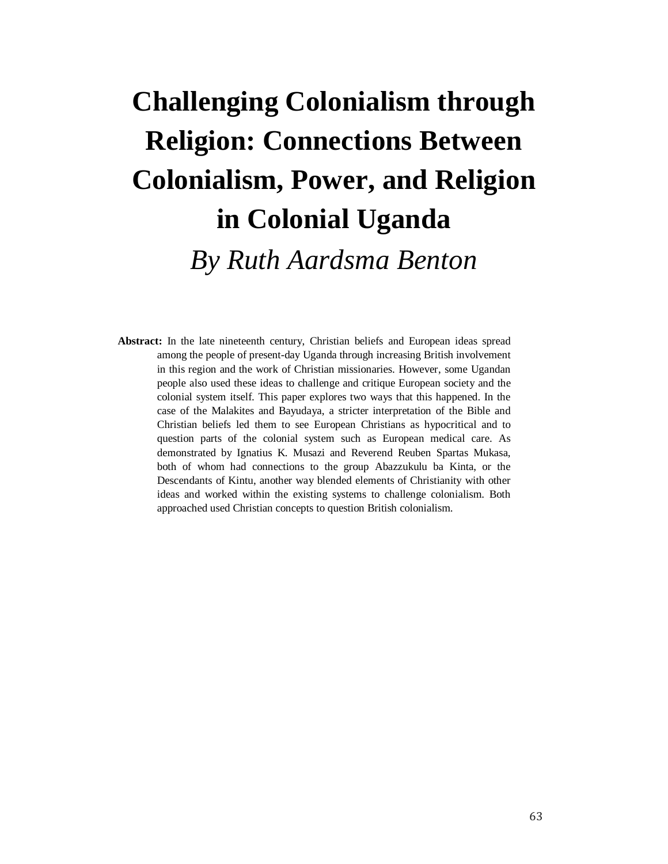# **Challenging Colonialism through Religion: Connections Between Colonialism, Power, and Religion in Colonial Uganda** *By Ruth Aardsma Benton*

**Abstract:** In the late nineteenth century, Christian beliefs and European ideas spread among the people of present-day Uganda through increasing British involvement in this region and the work of Christian missionaries. However, some Ugandan people also used these ideas to challenge and critique European society and the colonial system itself. This paper explores two ways that this happened. In the case of the Malakites and Bayudaya, a stricter interpretation of the Bible and Christian beliefs led them to see European Christians as hypocritical and to question parts of the colonial system such as European medical care. As demonstrated by Ignatius K. Musazi and Reverend Reuben Spartas Mukasa, both of whom had connections to the group Abazzukulu ba Kinta, or the Descendants of Kintu, another way blended elements of Christianity with other ideas and worked within the existing systems to challenge colonialism. Both approached used Christian concepts to question British colonialism.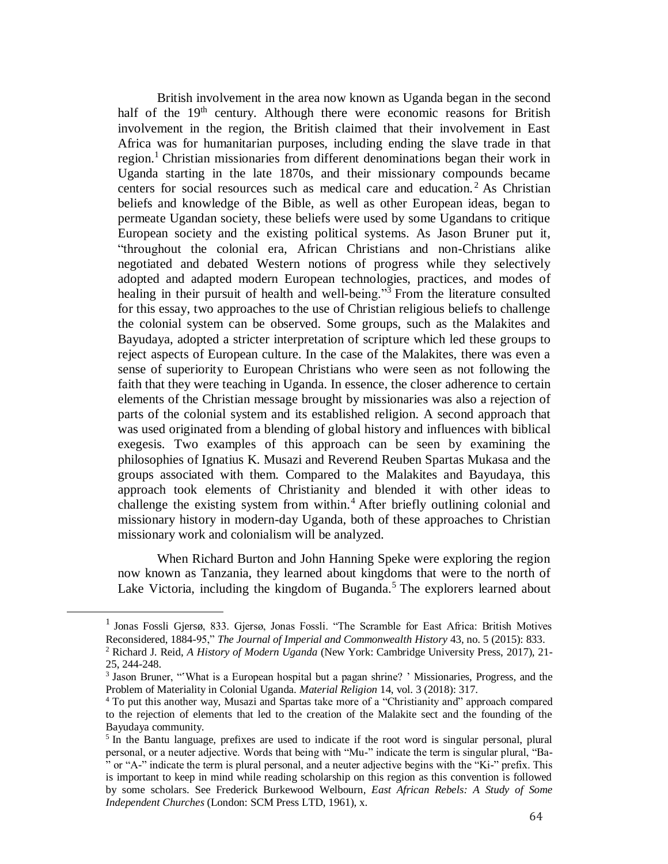British involvement in the area now known as Uganda began in the second half of the 19<sup>th</sup> century. Although there were economic reasons for British involvement in the region, the British claimed that their involvement in East Africa was for humanitarian purposes, including ending the slave trade in that region.<sup>1</sup> Christian missionaries from different denominations began their work in Uganda starting in the late 1870s, and their missionary compounds became centers for social resources such as medical care and education.<sup>2</sup> As Christian beliefs and knowledge of the Bible, as well as other European ideas, began to permeate Ugandan society, these beliefs were used by some Ugandans to critique European society and the existing political systems. As Jason Bruner put it, "throughout the colonial era, African Christians and non-Christians alike negotiated and debated Western notions of progress while they selectively adopted and adapted modern European technologies, practices, and modes of healing in their pursuit of health and well-being."<sup>3</sup> From the literature consulted for this essay, two approaches to the use of Christian religious beliefs to challenge the colonial system can be observed. Some groups, such as the Malakites and Bayudaya, adopted a stricter interpretation of scripture which led these groups to reject aspects of European culture. In the case of the Malakites, there was even a sense of superiority to European Christians who were seen as not following the faith that they were teaching in Uganda. In essence, the closer adherence to certain elements of the Christian message brought by missionaries was also a rejection of parts of the colonial system and its established religion. A second approach that was used originated from a blending of global history and influences with biblical exegesis. Two examples of this approach can be seen by examining the philosophies of Ignatius K. Musazi and Reverend Reuben Spartas Mukasa and the groups associated with them. Compared to the Malakites and Bayudaya, this approach took elements of Christianity and blended it with other ideas to challenge the existing system from within.<sup>4</sup> After briefly outlining colonial and missionary history in modern-day Uganda, both of these approaches to Christian missionary work and colonialism will be analyzed.

When Richard Burton and John Hanning Speke were exploring the region now known as Tanzania, they learned about kingdoms that were to the north of Lake Victoria, including the kingdom of Buganda.<sup>5</sup> The explorers learned about

<sup>1</sup> Jonas Fossli Gjersø, 833. Gjersø, Jonas Fossli. "The Scramble for East Africa: British Motives Reconsidered, 1884-95," *The Journal of Imperial and Commonwealth History* 43, no. 5 (2015): 833. <sup>2</sup> Richard J. Reid, *A History of Modern Uganda* (New York: Cambridge University Press, 2017), 21- 25, 244-248.

<sup>&</sup>lt;sup>3</sup> Jason Bruner, "What is a European hospital but a pagan shrine? ' Missionaries, Progress, and the Problem of Materiality in Colonial Uganda. *Material Religion* 14, vol. 3 (2018): 317.

<sup>4</sup> To put this another way, Musazi and Spartas take more of a "Christianity and" approach compared to the rejection of elements that led to the creation of the Malakite sect and the founding of the Bayudaya community.

<sup>&</sup>lt;sup>5</sup> In the Bantu language, prefixes are used to indicate if the root word is singular personal, plural personal, or a neuter adjective. Words that being with "Mu-" indicate the term is singular plural, "Ba- " or "A-" indicate the term is plural personal, and a neuter adjective begins with the "Ki-" prefix. This is important to keep in mind while reading scholarship on this region as this convention is followed by some scholars. See Frederick Burkewood Welbourn, *East African Rebels: A Study of Some Independent Churches* (London: SCM Press LTD, 1961), x.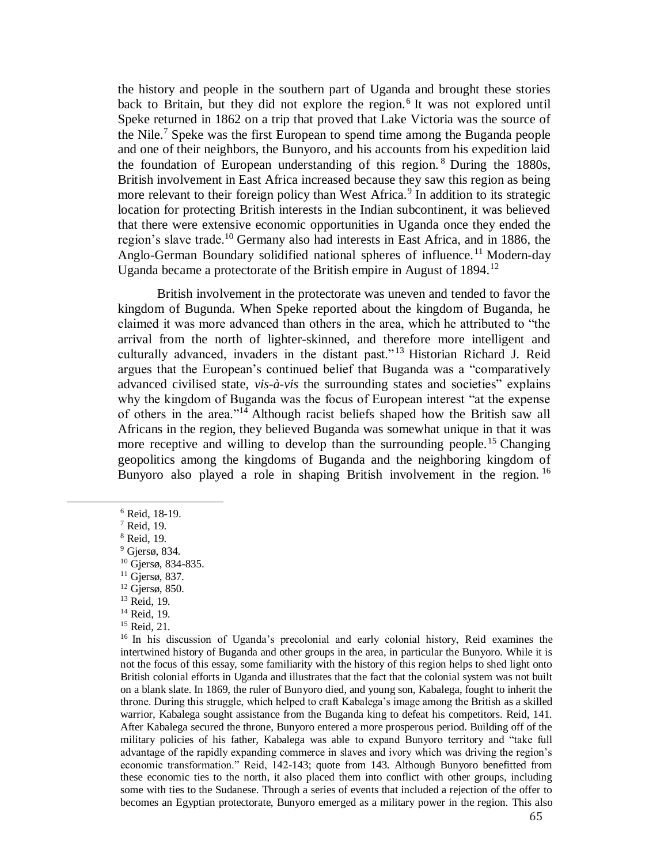the history and people in the southern part of Uganda and brought these stories back to Britain, but they did not explore the region.<sup>6</sup> It was not explored until Speke returned in 1862 on a trip that proved that Lake Victoria was the source of the Nile.<sup>7</sup> Speke was the first European to spend time among the Buganda people and one of their neighbors, the Bunyoro, and his accounts from his expedition laid the foundation of European understanding of this region. <sup>8</sup> During the 1880s, British involvement in East Africa increased because they saw this region as being more relevant to their foreign policy than West Africa.<sup>9</sup> In addition to its strategic location for protecting British interests in the Indian subcontinent, it was believed that there were extensive economic opportunities in Uganda once they ended the region's slave trade.<sup>10</sup> Germany also had interests in East Africa, and in 1886, the Anglo-German Boundary solidified national spheres of influence.<sup>11</sup> Modern-day Uganda became a protectorate of the British empire in August of 1894.<sup>12</sup>

British involvement in the protectorate was uneven and tended to favor the kingdom of Bugunda. When Speke reported about the kingdom of Buganda, he claimed it was more advanced than others in the area, which he attributed to "the arrival from the north of lighter-skinned, and therefore more intelligent and culturally advanced, invaders in the distant past." <sup>13</sup> Historian Richard J. Reid argues that the European's continued belief that Buganda was a "comparatively advanced civilised state, *vis-à-vis* the surrounding states and societies" explains why the kingdom of Buganda was the focus of European interest "at the expense of others in the area."<sup>14</sup> Although racist beliefs shaped how the British saw all Africans in the region, they believed Buganda was somewhat unique in that it was more receptive and willing to develop than the surrounding people.<sup>15</sup> Changing geopolitics among the kingdoms of Buganda and the neighboring kingdom of Bunyoro also played a role in shaping British involvement in the region.<sup>16</sup>

<sup>6</sup> Reid, 18-19.

<sup>7</sup> Reid, 19.

<sup>8</sup> Reid, 19.

<sup>9</sup> Gjersø, 834.

<sup>10</sup> Gjersø, 834-835.

<sup>11</sup> Gjersø, 837.

 $12$  Gjersø, 850. <sup>13</sup> Reid, 19.

<sup>14</sup> Reid, 19.

<sup>15</sup> Reid, 21.

<sup>&</sup>lt;sup>16</sup> In his discussion of Uganda's precolonial and early colonial history, Reid examines the intertwined history of Buganda and other groups in the area, in particular the Bunyoro. While it is not the focus of this essay, some familiarity with the history of this region helps to shed light onto British colonial efforts in Uganda and illustrates that the fact that the colonial system was not built on a blank slate. In 1869, the ruler of Bunyoro died, and young son, Kabalega, fought to inherit the throne. During this struggle, which helped to craft Kabalega's image among the British as a skilled warrior, Kabalega sought assistance from the Buganda king to defeat his competitors. Reid, 141. After Kabalega secured the throne, Bunyoro entered a more prosperous period. Building off of the military policies of his father, Kabalega was able to expand Bunyoro territory and "take full advantage of the rapidly expanding commerce in slaves and ivory which was driving the region's economic transformation." Reid, 142-143; quote from 143. Although Bunyoro benefitted from these economic ties to the north, it also placed them into conflict with other groups, including some with ties to the Sudanese. Through a series of events that included a rejection of the offer to becomes an Egyptian protectorate, Bunyoro emerged as a military power in the region. This also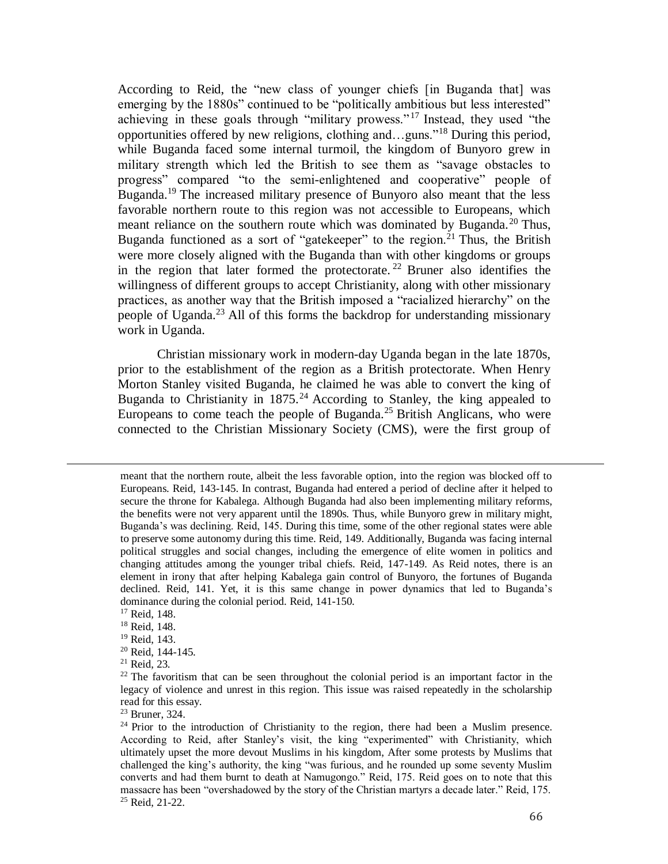According to Reid, the "new class of younger chiefs [in Buganda that] was emerging by the 1880s" continued to be "politically ambitious but less interested" achieving in these goals through "military prowess." <sup>17</sup> Instead, they used "the opportunities offered by new religions, clothing and…guns."<sup>18</sup> During this period, while Buganda faced some internal turmoil, the kingdom of Bunyoro grew in military strength which led the British to see them as "savage obstacles to progress" compared "to the semi-enlightened and cooperative" people of Buganda.<sup>19</sup> The increased military presence of Bunyoro also meant that the less favorable northern route to this region was not accessible to Europeans, which meant reliance on the southern route which was dominated by Buganda.<sup>20</sup> Thus, Buganda functioned as a sort of "gatekeeper" to the region.<sup>21</sup> Thus, the British were more closely aligned with the Buganda than with other kingdoms or groups in the region that later formed the protectorate.<sup>22</sup> Bruner also identifies the willingness of different groups to accept Christianity, along with other missionary practices, as another way that the British imposed a "racialized hierarchy" on the people of Uganda.<sup>23</sup> All of this forms the backdrop for understanding missionary work in Uganda.

Christian missionary work in modern-day Uganda began in the late 1870s, prior to the establishment of the region as a British protectorate. When Henry Morton Stanley visited Buganda, he claimed he was able to convert the king of Buganda to Christianity in 1875.<sup>24</sup> According to Stanley, the king appealed to Europeans to come teach the people of Buganda.<sup>25</sup> British Anglicans, who were connected to the Christian Missionary Society (CMS), were the first group of

- <sup>20</sup> Reid, 144-145.
- <sup>21</sup> Reid, 23.

meant that the northern route, albeit the less favorable option, into the region was blocked off to Europeans. Reid, 143-145. In contrast, Buganda had entered a period of decline after it helped to secure the throne for Kabalega. Although Buganda had also been implementing military reforms, the benefits were not very apparent until the 1890s. Thus, while Bunyoro grew in military might, Buganda's was declining. Reid, 145. During this time, some of the other regional states were able to preserve some autonomy during this time. Reid, 149. Additionally, Buganda was facing internal political struggles and social changes, including the emergence of elite women in politics and changing attitudes among the younger tribal chiefs. Reid, 147-149. As Reid notes, there is an element in irony that after helping Kabalega gain control of Bunyoro, the fortunes of Buganda declined. Reid, 141. Yet, it is this same change in power dynamics that led to Buganda's dominance during the colonial period. Reid, 141-150.

<sup>&</sup>lt;sup>17</sup> Reid, 148.

<sup>18</sup> Reid, 148.

<sup>19</sup> Reid, 143.

 $2<sup>22</sup>$  The favoritism that can be seen throughout the colonial period is an important factor in the legacy of violence and unrest in this region. This issue was raised repeatedly in the scholarship read for this essay.

<sup>23</sup> Bruner, 324.

 $24$  Prior to the introduction of Christianity to the region, there had been a Muslim presence. According to Reid, after Stanley's visit, the king "experimented" with Christianity, which ultimately upset the more devout Muslims in his kingdom, After some protests by Muslims that challenged the king's authority, the king "was furious, and he rounded up some seventy Muslim converts and had them burnt to death at Namugongo." Reid, 175. Reid goes on to note that this massacre has been "overshadowed by the story of the Christian martyrs a decade later." Reid, 175. <sup>25</sup> Reid, 21-22.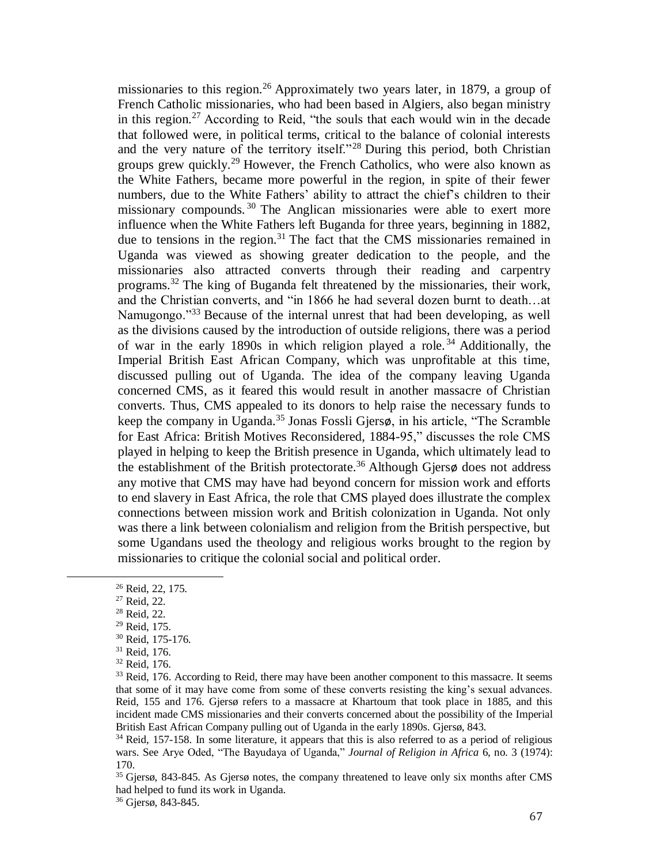missionaries to this region.<sup>26</sup> Approximately two years later, in 1879, a group of French Catholic missionaries, who had been based in Algiers, also began ministry in this region.<sup>27</sup> According to Reid, "the souls that each would win in the decade that followed were, in political terms, critical to the balance of colonial interests and the very nature of the territory itself."<sup>28</sup> During this period, both Christian groups grew quickly.<sup>29</sup> However, the French Catholics, who were also known as the White Fathers, became more powerful in the region, in spite of their fewer numbers, due to the White Fathers' ability to attract the chief's children to their missionary compounds.<sup>30</sup> The Anglican missionaries were able to exert more influence when the White Fathers left Buganda for three years, beginning in 1882, due to tensions in the region.<sup>31</sup> The fact that the CMS missionaries remained in Uganda was viewed as showing greater dedication to the people, and the missionaries also attracted converts through their reading and carpentry programs.<sup>32</sup> The king of Buganda felt threatened by the missionaries, their work, and the Christian converts, and "in 1866 he had several dozen burnt to death…at Namugongo."<sup>33</sup> Because of the internal unrest that had been developing, as well as the divisions caused by the introduction of outside religions, there was a period of war in the early 1890s in which religion played a role.<sup>34</sup> Additionally, the Imperial British East African Company, which was unprofitable at this time, discussed pulling out of Uganda. The idea of the company leaving Uganda concerned CMS, as it feared this would result in another massacre of Christian converts. Thus, CMS appealed to its donors to help raise the necessary funds to keep the company in Uganda.<sup>35</sup> Jonas Fossli Gjersø, in his article, "The Scramble for East Africa: British Motives Reconsidered, 1884-95," discusses the role CMS played in helping to keep the British presence in Uganda, which ultimately lead to the establishment of the British protectorate.<sup>36</sup> Although Gjersø does not address any motive that CMS may have had beyond concern for mission work and efforts to end slavery in East Africa, the role that CMS played does illustrate the complex connections between mission work and British colonization in Uganda. Not only was there a link between colonialism and religion from the British perspective, but some Ugandans used the theology and religious works brought to the region by missionaries to critique the colonial social and political order.

<sup>26</sup> Reid, 22, 175.

<sup>27</sup> Reid, 22.

<sup>28</sup> Reid, 22.

<sup>29</sup> Reid, 175.

<sup>30</sup> Reid, 175-176.

<sup>31</sup> Reid, 176.

<sup>32</sup> Reid, 176.

<sup>&</sup>lt;sup>33</sup> Reid, 176. According to Reid, there may have been another component to this massacre. It seems that some of it may have come from some of these converts resisting the king's sexual advances. Reid, 155 and 176. Gjersø refers to a massacre at Khartoum that took place in 1885, and this incident made CMS missionaries and their converts concerned about the possibility of the Imperial British East African Company pulling out of Uganda in the early 1890s. Gjersø, 843.

<sup>&</sup>lt;sup>34</sup> Reid, 157-158. In some literature, it appears that this is also referred to as a period of religious wars. See Arye Oded, "The Bayudaya of Uganda," *Journal of Religion in Africa* 6, no. 3 (1974): 170.

<sup>&</sup>lt;sup>35</sup> Gjersø, 843-845. As Gjersø notes, the company threatened to leave only six months after CMS had helped to fund its work in Uganda.

<sup>36</sup> Gjersø, 843-845.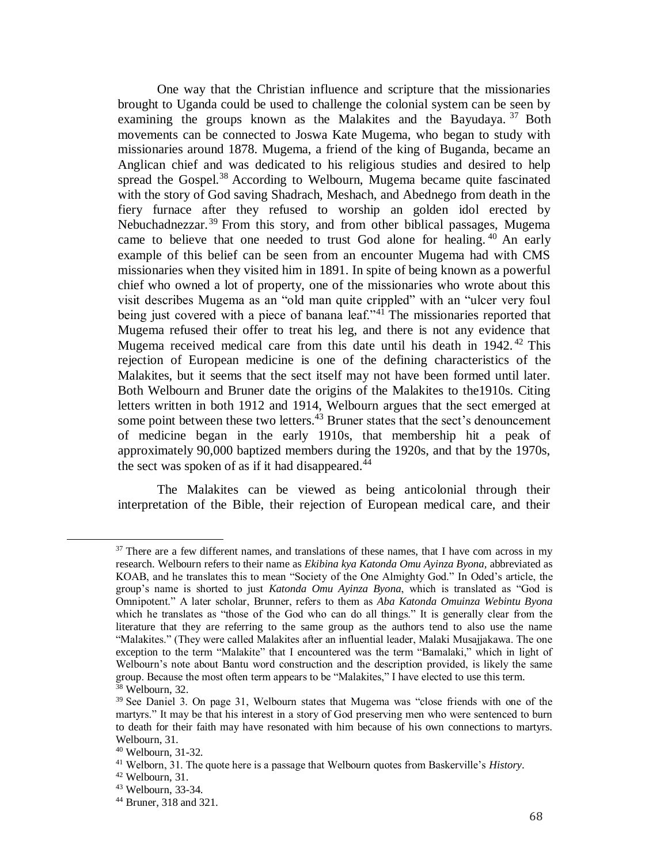One way that the Christian influence and scripture that the missionaries brought to Uganda could be used to challenge the colonial system can be seen by examining the groups known as the Malakites and the Bayudaya.<sup>37</sup> Both movements can be connected to Joswa Kate Mugema, who began to study with missionaries around 1878. Mugema, a friend of the king of Buganda, became an Anglican chief and was dedicated to his religious studies and desired to help spread the Gospel.<sup>38</sup> According to Welbourn, Mugema became quite fascinated with the story of God saving Shadrach, Meshach, and Abednego from death in the fiery furnace after they refused to worship an golden idol erected by Nebuchadnezzar.<sup>39</sup> From this story, and from other biblical passages, Mugema came to believe that one needed to trust God alone for healing.<sup>40</sup> An early example of this belief can be seen from an encounter Mugema had with CMS missionaries when they visited him in 1891. In spite of being known as a powerful chief who owned a lot of property, one of the missionaries who wrote about this visit describes Mugema as an "old man quite crippled" with an "ulcer very foul being just covered with a piece of banana leaf."<sup>41</sup> The missionaries reported that Mugema refused their offer to treat his leg, and there is not any evidence that Mugema received medical care from this date until his death in  $1942.^{42}$  This rejection of European medicine is one of the defining characteristics of the Malakites, but it seems that the sect itself may not have been formed until later. Both Welbourn and Bruner date the origins of the Malakites to the1910s. Citing letters written in both 1912 and 1914, Welbourn argues that the sect emerged at some point between these two letters.<sup>43</sup> Bruner states that the sect's denouncement of medicine began in the early 1910s, that membership hit a peak of approximately 90,000 baptized members during the 1920s, and that by the 1970s, the sect was spoken of as if it had disappeared. $^{44}$ 

The Malakites can be viewed as being anticolonial through their interpretation of the Bible, their rejection of European medical care, and their

<sup>&</sup>lt;sup>37</sup> There are a few different names, and translations of these names, that I have com across in my research. Welbourn refers to their name as *Ekibina kya Katonda Omu Ayinza Byona,* abbreviated as KOAB, and he translates this to mean "Society of the One Almighty God." In Oded's article, the group's name is shorted to just *Katonda Omu Ayinza Byona*, which is translated as "God is Omnipotent." A later scholar, Brunner, refers to them as *Aba Katonda Omuinza Webintu Byona* which he translates as "those of the God who can do all things." It is generally clear from the literature that they are referring to the same group as the authors tend to also use the name "Malakites." (They were called Malakites after an influential leader, Malaki Musajjakawa. The one exception to the term "Malakite" that I encountered was the term "Bamalaki," which in light of Welbourn's note about Bantu word construction and the description provided, is likely the same group. Because the most often term appears to be "Malakites," I have elected to use this term. <sup>38</sup> Welbourn, 32.

<sup>&</sup>lt;sup>39</sup> See Daniel 3. On page 31, Welbourn states that Mugema was "close friends with one of the martyrs." It may be that his interest in a story of God preserving men who were sentenced to burn to death for their faith may have resonated with him because of his own connections to martyrs. Welbourn, 31.

<sup>40</sup> Welbourn, 31-32.

<sup>41</sup> Welborn, 31. The quote here is a passage that Welbourn quotes from Baskerville's *History*.

<sup>42</sup> Welbourn, 31.

<sup>43</sup> Welbourn, 33-34.

<sup>44</sup> Bruner, 318 and 321.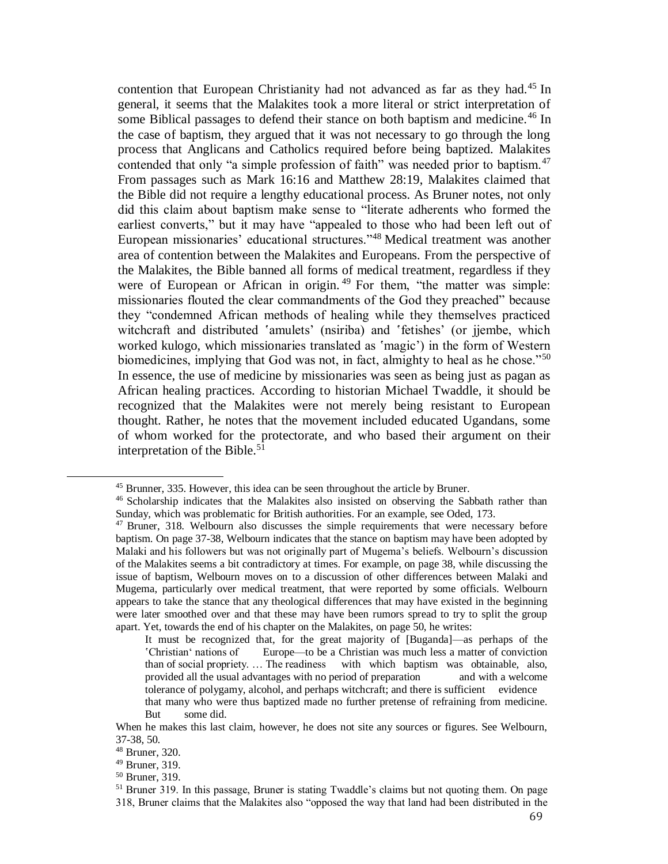contention that European Christianity had not advanced as far as they had.<sup>45</sup> In general, it seems that the Malakites took a more literal or strict interpretation of some Biblical passages to defend their stance on both baptism and medicine.<sup>46</sup> In the case of baptism, they argued that it was not necessary to go through the long process that Anglicans and Catholics required before being baptized. Malakites contended that only "a simple profession of faith" was needed prior to baptism.<sup>47</sup> From passages such as Mark 16:16 and Matthew 28:19, Malakites claimed that the Bible did not require a lengthy educational process. As Bruner notes, not only did this claim about baptism make sense to "literate adherents who formed the earliest converts," but it may have "appealed to those who had been left out of European missionaries' educational structures."<sup>48</sup> Medical treatment was another area of contention between the Malakites and Europeans. From the perspective of the Malakites, the Bible banned all forms of medical treatment, regardless if they were of European or African in origin.<sup>49</sup> For them, "the matter was simple: missionaries flouted the clear commandments of the God they preached" because they "condemned African methods of healing while they themselves practiced witchcraft and distributed 'amulets' (nsiriba) and 'fetishes' (or jiembe, which worked kulogo, which missionaries translated as 'magic') in the form of Western biomedicines, implying that God was not, in fact, almighty to heal as he chose."<sup>50</sup> In essence, the use of medicine by missionaries was seen as being just as pagan as African healing practices. According to historian Michael Twaddle, it should be recognized that the Malakites were not merely being resistant to European thought. Rather, he notes that the movement included educated Ugandans, some of whom worked for the protectorate, and who based their argument on their interpretation of the Bible.<sup>51</sup>

<sup>45</sup> Brunner, 335. However, this idea can be seen throughout the article by Bruner.

<sup>46</sup> Scholarship indicates that the Malakites also insisted on observing the Sabbath rather than Sunday, which was problematic for British authorities. For an example, see Oded, 173.

<sup>&</sup>lt;sup>47</sup> Bruner, 318. Welbourn also discusses the simple requirements that were necessary before baptism. On page 37-38, Welbourn indicates that the stance on baptism may have been adopted by Malaki and his followers but was not originally part of Mugema's beliefs. Welbourn's discussion of the Malakites seems a bit contradictory at times. For example, on page 38, while discussing the issue of baptism, Welbourn moves on to a discussion of other differences between Malaki and Mugema, particularly over medical treatment, that were reported by some officials. Welbourn appears to take the stance that any theological differences that may have existed in the beginning were later smoothed over and that these may have been rumors spread to try to split the group apart. Yet, towards the end of his chapter on the Malakites, on page 50, he writes:

It must be recognized that, for the great majority of [Buganda]—as perhaps of the ʽChristianʻ nations of Europe—to be a Christian was much less a matter of conviction than of social propriety. … The readiness with which baptism was obtainable, also, provided all the usual advantages with no period of preparation and with a welcome tolerance of polygamy, alcohol, and perhaps witchcraft; and there is sufficient evidence that many who were thus baptized made no further pretense of refraining from medicine. But some did.

When he makes this last claim, however, he does not site any sources or figures. See Welbourn, 37-38, 50.

<sup>48</sup> Bruner, 320.

<sup>49</sup> Bruner, 319.

<sup>50</sup> Bruner, 319.

<sup>&</sup>lt;sup>51</sup> Bruner 319. In this passage, Bruner is stating Twaddle's claims but not quoting them. On page 318, Bruner claims that the Malakites also "opposed the way that land had been distributed in the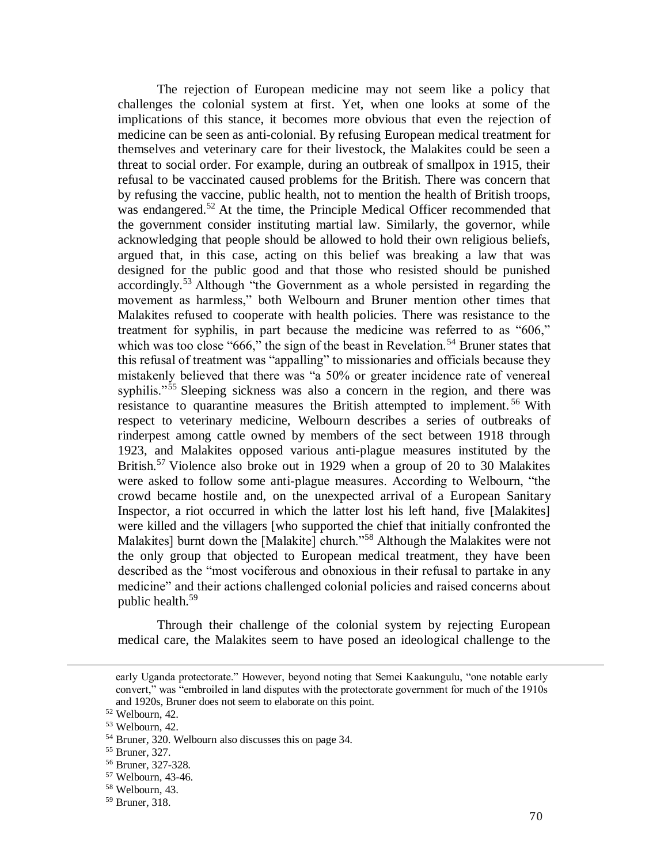The rejection of European medicine may not seem like a policy that challenges the colonial system at first. Yet, when one looks at some of the implications of this stance, it becomes more obvious that even the rejection of medicine can be seen as anti-colonial. By refusing European medical treatment for themselves and veterinary care for their livestock, the Malakites could be seen a threat to social order. For example, during an outbreak of smallpox in 1915, their refusal to be vaccinated caused problems for the British. There was concern that by refusing the vaccine, public health, not to mention the health of British troops, was endangered.<sup>52</sup> At the time, the Principle Medical Officer recommended that the government consider instituting martial law. Similarly, the governor, while acknowledging that people should be allowed to hold their own religious beliefs, argued that, in this case, acting on this belief was breaking a law that was designed for the public good and that those who resisted should be punished accordingly.<sup>53</sup> Although "the Government as a whole persisted in regarding the movement as harmless," both Welbourn and Bruner mention other times that Malakites refused to cooperate with health policies. There was resistance to the treatment for syphilis, in part because the medicine was referred to as "606," which was too close "666," the sign of the beast in Revelation.<sup>54</sup> Bruner states that this refusal of treatment was "appalling" to missionaries and officials because they mistakenly believed that there was "a 50% or greater incidence rate of venereal syphilis."<sup>55</sup> Sleeping sickness was also a concern in the region, and there was resistance to quarantine measures the British attempted to implement.<sup>56</sup> With respect to veterinary medicine, Welbourn describes a series of outbreaks of rinderpest among cattle owned by members of the sect between 1918 through 1923, and Malakites opposed various anti-plague measures instituted by the British.<sup>57</sup> Violence also broke out in 1929 when a group of 20 to 30 Malakites were asked to follow some anti-plague measures. According to Welbourn, "the crowd became hostile and, on the unexpected arrival of a European Sanitary Inspector, a riot occurred in which the latter lost his left hand, five [Malakites] were killed and the villagers [who supported the chief that initially confronted the Malakites] burnt down the [Malakite] church."<sup>58</sup> Although the Malakites were not the only group that objected to European medical treatment, they have been described as the "most vociferous and obnoxious in their refusal to partake in any medicine" and their actions challenged colonial policies and raised concerns about public health.<sup>59</sup>

Through their challenge of the colonial system by rejecting European medical care, the Malakites seem to have posed an ideological challenge to the

early Uganda protectorate." However, beyond noting that Semei Kaakungulu, "one notable early convert," was "embroiled in land disputes with the protectorate government for much of the 1910s and 1920s, Bruner does not seem to elaborate on this point.

<sup>52</sup> Welbourn, 42.

<sup>53</sup> Welbourn, 42.

<sup>54</sup> Bruner, 320. Welbourn also discusses this on page 34.

<sup>55</sup> Bruner, 327.

<sup>56</sup> Bruner, 327-328.

<sup>57</sup> Welbourn, 43-46.

<sup>58</sup> Welbourn, 43.

<sup>59</sup> Bruner, 318.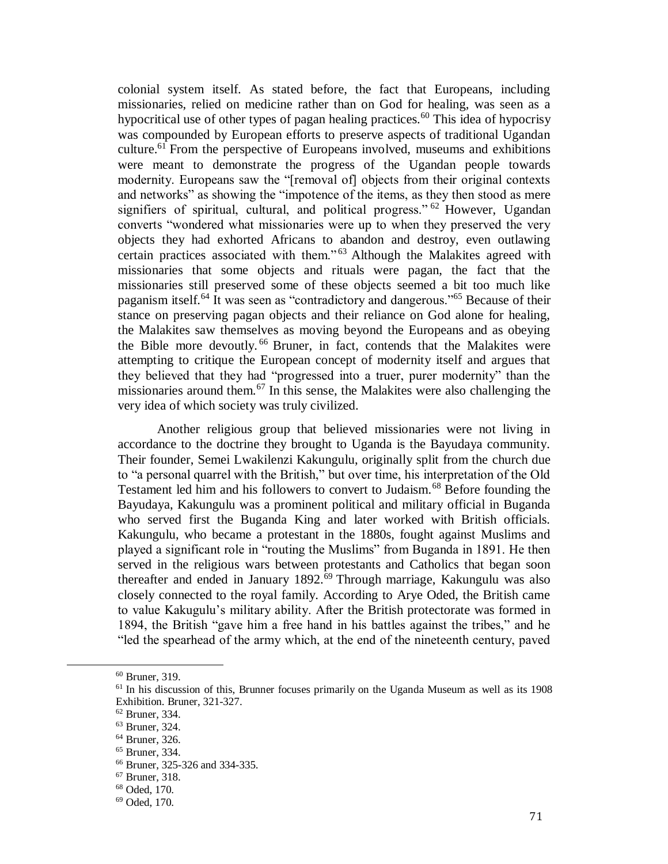colonial system itself. As stated before, the fact that Europeans, including missionaries, relied on medicine rather than on God for healing, was seen as a hypocritical use of other types of pagan healing practices.<sup>60</sup> This idea of hypocrisy was compounded by European efforts to preserve aspects of traditional Ugandan culture.<sup>61</sup> From the perspective of Europeans involved, museums and exhibitions were meant to demonstrate the progress of the Ugandan people towards modernity. Europeans saw the "[removal of] objects from their original contexts and networks" as showing the "impotence of the items, as they then stood as mere signifiers of spiritual, cultural, and political progress." <sup>62</sup> However, Ugandan converts "wondered what missionaries were up to when they preserved the very objects they had exhorted Africans to abandon and destroy, even outlawing certain practices associated with them."<sup>63</sup> Although the Malakites agreed with missionaries that some objects and rituals were pagan, the fact that the missionaries still preserved some of these objects seemed a bit too much like paganism itself.<sup>64</sup> It was seen as "contradictory and dangerous."<sup>65</sup> Because of their stance on preserving pagan objects and their reliance on God alone for healing, the Malakites saw themselves as moving beyond the Europeans and as obeying the Bible more devoutly. <sup>66</sup> Bruner, in fact, contends that the Malakites were attempting to critique the European concept of modernity itself and argues that they believed that they had "progressed into a truer, purer modernity" than the missionaries around them.<sup>67</sup> In this sense, the Malakites were also challenging the very idea of which society was truly civilized.

Another religious group that believed missionaries were not living in accordance to the doctrine they brought to Uganda is the Bayudaya community. Their founder, Semei Lwakilenzi Kakungulu, originally split from the church due to "a personal quarrel with the British," but over time, his interpretation of the Old Testament led him and his followers to convert to Judaism.<sup>68</sup> Before founding the Bayudaya, Kakungulu was a prominent political and military official in Buganda who served first the Buganda King and later worked with British officials. Kakungulu, who became a protestant in the 1880s, fought against Muslims and played a significant role in "routing the Muslims" from Buganda in 1891. He then served in the religious wars between protestants and Catholics that began soon thereafter and ended in January  $1892.^{69}$  Through marriage, Kakungulu was also closely connected to the royal family. According to Arye Oded, the British came to value Kakugulu's military ability. After the British protectorate was formed in 1894, the British "gave him a free hand in his battles against the tribes," and he "led the spearhead of the army which, at the end of the nineteenth century, paved

<sup>60</sup> Bruner, 319.

<sup>&</sup>lt;sup>61</sup> In his discussion of this, Brunner focuses primarily on the Uganda Museum as well as its 1908 Exhibition. Bruner, 321-327.

<sup>62</sup> Bruner, 334.

<sup>63</sup> Bruner, 324.

<sup>64</sup> Bruner, 326.

<sup>65</sup> Bruner, 334.

<sup>66</sup> Bruner, 325-326 and 334-335.

<sup>67</sup> Bruner, 318.

<sup>68</sup> Oded, 170.

<sup>69</sup> Oded, 170.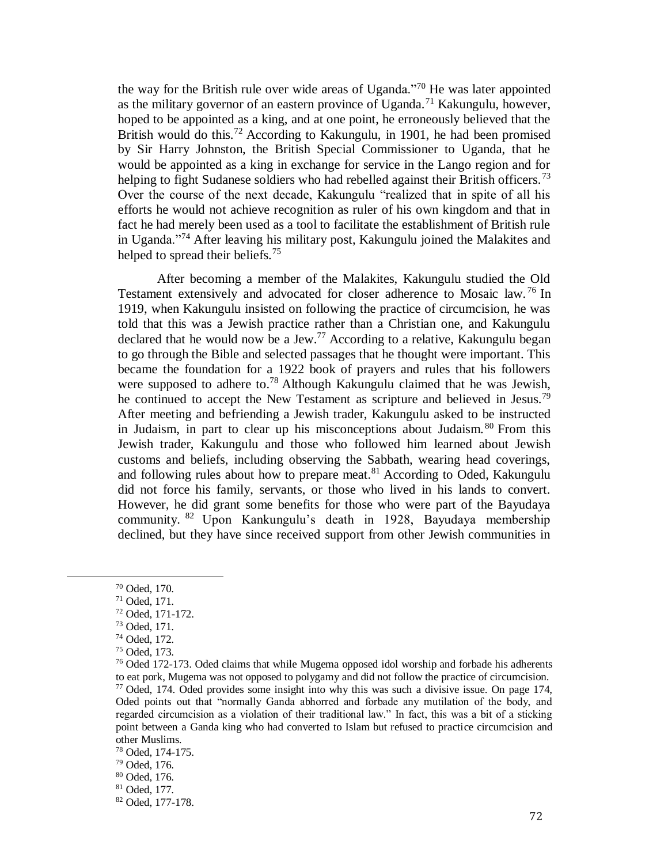the way for the British rule over wide areas of Uganda."<sup>70</sup> He was later appointed as the military governor of an eastern province of Uganda.<sup>71</sup> Kakungulu, however, hoped to be appointed as a king, and at one point, he erroneously believed that the British would do this.<sup>72</sup> According to Kakungulu, in 1901, he had been promised by Sir Harry Johnston, the British Special Commissioner to Uganda, that he would be appointed as a king in exchange for service in the Lango region and for helping to fight Sudanese soldiers who had rebelled against their British officers.<sup>73</sup> Over the course of the next decade, Kakungulu "realized that in spite of all his efforts he would not achieve recognition as ruler of his own kingdom and that in fact he had merely been used as a tool to facilitate the establishment of British rule in Uganda."<sup>74</sup> After leaving his military post, Kakungulu joined the Malakites and helped to spread their beliefs.<sup>75</sup>

After becoming a member of the Malakites, Kakungulu studied the Old Testament extensively and advocated for closer adherence to Mosaic law.<sup>76</sup> In 1919, when Kakungulu insisted on following the practice of circumcision, he was told that this was a Jewish practice rather than a Christian one, and Kakungulu declared that he would now be a Jew.<sup>77</sup> According to a relative, Kakungulu began to go through the Bible and selected passages that he thought were important. This became the foundation for a 1922 book of prayers and rules that his followers were supposed to adhere to.<sup>78</sup> Although Kakungulu claimed that he was Jewish, he continued to accept the New Testament as scripture and believed in Jesus.<sup>79</sup> After meeting and befriending a Jewish trader, Kakungulu asked to be instructed in Judaism, in part to clear up his misconceptions about Judaism. <sup>80</sup> From this Jewish trader, Kakungulu and those who followed him learned about Jewish customs and beliefs, including observing the Sabbath, wearing head coverings, and following rules about how to prepare meat. $81$  According to Oded, Kakungulu did not force his family, servants, or those who lived in his lands to convert. However, he did grant some benefits for those who were part of the Bayudaya community. <sup>82</sup> Upon Kankungulu's death in 1928, Bayudaya membership declined, but they have since received support from other Jewish communities in

<sup>70</sup> Oded, 170.

<sup>71</sup> Oded, 171.

<sup>72</sup> Oded, 171-172.

<sup>73</sup> Oded, 171.

<sup>74</sup> Oded, 172.

<sup>75</sup> Oded, 173.

 $76$  Oded 172-173. Oded claims that while Mugema opposed idol worship and forbade his adherents to eat pork, Mugema was not opposed to polygamy and did not follow the practice of circumcision.  $77$  Oded, 174. Oded provides some insight into why this was such a divisive issue. On page 174, Oded points out that "normally Ganda abhorred and forbade any mutilation of the body, and regarded circumcision as a violation of their traditional law." In fact, this was a bit of a sticking point between a Ganda king who had converted to Islam but refused to practice circumcision and other Muslims.

<sup>78</sup> Oded, 174-175.

<sup>79</sup> Oded, 176.

<sup>80</sup> Oded, 176.

<sup>81</sup> Oded, 177.

<sup>82</sup> Oded, 177-178.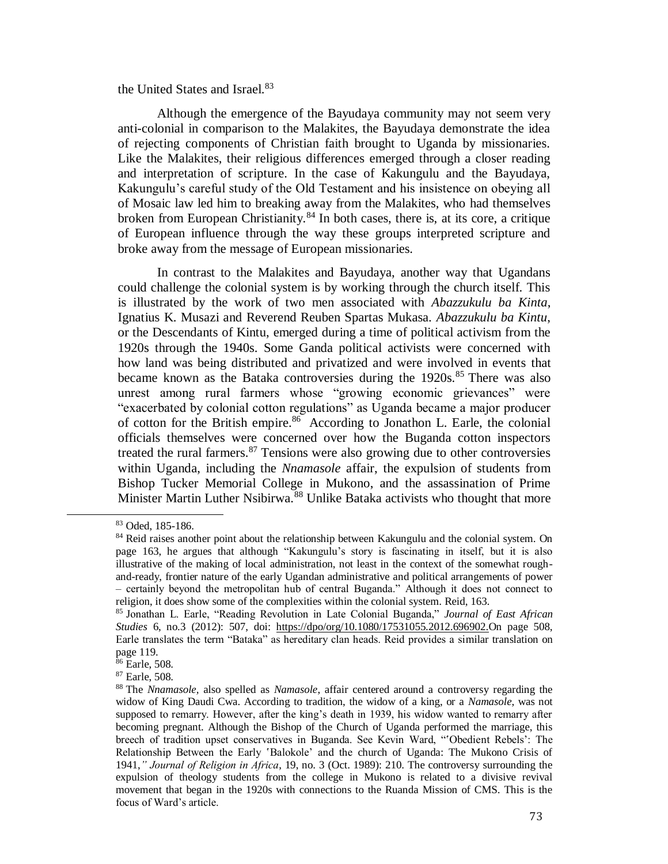the United States and Israel.<sup>83</sup>

Although the emergence of the Bayudaya community may not seem very anti-colonial in comparison to the Malakites, the Bayudaya demonstrate the idea of rejecting components of Christian faith brought to Uganda by missionaries. Like the Malakites, their religious differences emerged through a closer reading and interpretation of scripture. In the case of Kakungulu and the Bayudaya, Kakungulu's careful study of the Old Testament and his insistence on obeying all of Mosaic law led him to breaking away from the Malakites, who had themselves broken from European Christianity. $84$  In both cases, there is, at its core, a critique of European influence through the way these groups interpreted scripture and broke away from the message of European missionaries.

In contrast to the Malakites and Bayudaya, another way that Ugandans could challenge the colonial system is by working through the church itself. This is illustrated by the work of two men associated with *Abazzukulu ba Kinta*, Ignatius K. Musazi and Reverend Reuben Spartas Mukasa. *Abazzukulu ba Kintu*, or the Descendants of Kintu, emerged during a time of political activism from the 1920s through the 1940s. Some Ganda political activists were concerned with how land was being distributed and privatized and were involved in events that became known as the Bataka controversies during the  $1920s$ .<sup>85</sup> There was also unrest among rural farmers whose "growing economic grievances" were "exacerbated by colonial cotton regulations" as Uganda became a major producer of cotton for the British empire.<sup>86</sup> According to Jonathon L. Earle, the colonial officials themselves were concerned over how the Buganda cotton inspectors treated the rural farmers. $87$  Tensions were also growing due to other controversies within Uganda, including the *Nnamasole* affair, the expulsion of students from Bishop Tucker Memorial College in Mukono, and the assassination of Prime Minister Martin Luther Nsibirwa.<sup>88</sup> Unlike Bataka activists who thought that more

<sup>83</sup> Oded, 185-186.

<sup>&</sup>lt;sup>84</sup> Reid raises another point about the relationship between Kakungulu and the colonial system. On page 163, he argues that although "Kakungulu's story is fascinating in itself, but it is also illustrative of the making of local administration, not least in the context of the somewhat roughand-ready, frontier nature of the early Ugandan administrative and political arrangements of power – certainly beyond the metropolitan hub of central Buganda." Although it does not connect to religion, it does show some of the complexities within the colonial system. Reid, 163.

<sup>85</sup> Jonathan L. Earle, "Reading Revolution in Late Colonial Buganda," *Journal of East African Studies* 6, no.3 (2012): 507, doi: [https://dpo/org/10.1080/17531055.2012.696902.](https://dpo/org/10.1080/17531055.2012.696902)On page 508, Earle translates the term "Bataka" as hereditary clan heads. Reid provides a similar translation on page 119.

<sup>86</sup> Earle, 508.

<sup>87</sup> Earle, 508.

<sup>88</sup> The *Nnamasole,* also spelled as *Namasole*, affair centered around a controversy regarding the widow of King Daudi Cwa. According to tradition, the widow of a king, or a *Namasole*, was not supposed to remarry. However, after the king's death in 1939, his widow wanted to remarry after becoming pregnant. Although the Bishop of the Church of Uganda performed the marriage, this breech of tradition upset conservatives in Buganda. See Kevin Ward, "Obedient Rebels': The Relationship Between the Early 'Balokole' and the church of Uganda: The Mukono Crisis of 1941,*" Journal of Religion in Africa*, 19, no. 3 (Oct. 1989): 210. The controversy surrounding the expulsion of theology students from the college in Mukono is related to a divisive revival movement that began in the 1920s with connections to the Ruanda Mission of CMS. This is the focus of Ward's article.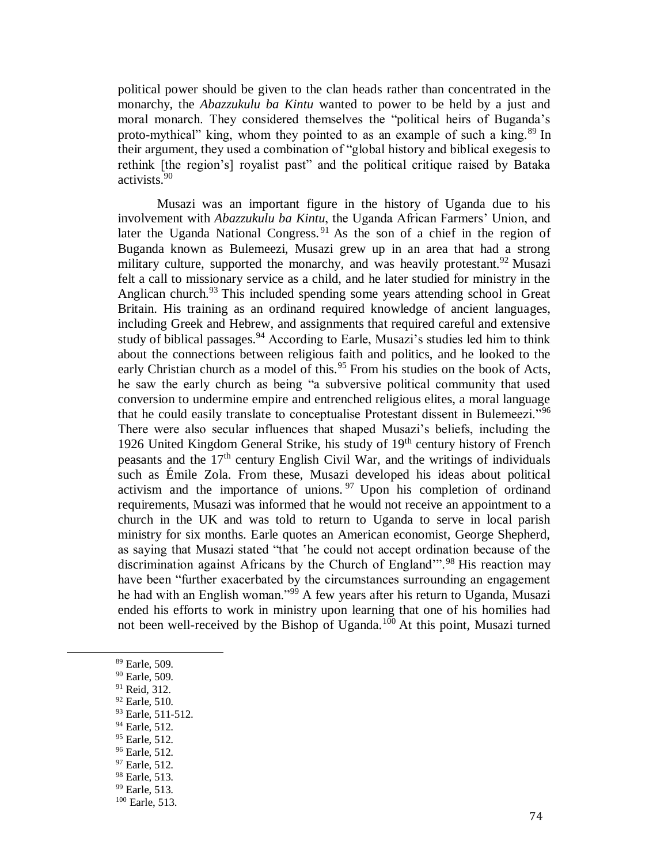political power should be given to the clan heads rather than concentrated in the monarchy, the *Abazzukulu ba Kintu* wanted to power to be held by a just and moral monarch. They considered themselves the "political heirs of Buganda's proto-mythical" king, whom they pointed to as an example of such a king.<sup>89</sup> In their argument, they used a combination of "global history and biblical exegesis to rethink [the region's] royalist past" and the political critique raised by Bataka activists.<sup>90</sup>

Musazi was an important figure in the history of Uganda due to his involvement with *Abazzukulu ba Kintu*, the Uganda African Farmers' Union, and later the Uganda National Congress.<sup>91</sup> As the son of a chief in the region of Buganda known as Bulemeezi, Musazi grew up in an area that had a strong military culture, supported the monarchy, and was heavily protestant.<sup>92</sup> Musazi felt a call to missionary service as a child, and he later studied for ministry in the Anglican church.<sup>93</sup> This included spending some years attending school in Great Britain. His training as an ordinand required knowledge of ancient languages, including Greek and Hebrew, and assignments that required careful and extensive study of biblical passages.<sup>94</sup> According to Earle, Musazi's studies led him to think about the connections between religious faith and politics, and he looked to the early Christian church as a model of this.<sup>95</sup> From his studies on the book of Acts, he saw the early church as being "a subversive political community that used conversion to undermine empire and entrenched religious elites, a moral language that he could easily translate to conceptualise Protestant dissent in Bulemeezi."<sup>96</sup> There were also secular influences that shaped Musazi's beliefs, including the 1926 United Kingdom General Strike, his study of  $19<sup>th</sup>$  century history of French peasants and the  $17<sup>th</sup>$  century English Civil War, and the writings of individuals such as Émile Zola. From these, Musazi developed his ideas about political activism and the importance of unions. <sup>97</sup> Upon his completion of ordinand requirements, Musazi was informed that he would not receive an appointment to a church in the UK and was told to return to Uganda to serve in local parish ministry for six months. Earle quotes an American economist, George Shepherd, as saying that Musazi stated "that 'he could not accept ordination because of the discrimination against Africans by the Church of England'".<sup>98</sup> His reaction may have been "further exacerbated by the circumstances surrounding an engagement he had with an English woman."<sup>99</sup> A few years after his return to Uganda, Musazi ended his efforts to work in ministry upon learning that one of his homilies had not been well-received by the Bishop of Uganda.<sup>100</sup> At this point, Musazi turned

- <sup>91</sup> Reid, 312.
- <sup>92</sup> Earle, 510.
- <sup>93</sup> Earle, 511-512.
- <sup>94</sup> Earle, 512.
- <sup>95</sup> Earle, 512.
- <sup>96</sup> Earle, 512.
- <sup>97</sup> Earle, 512.
- <sup>98</sup> Earle, 513.
- <sup>99</sup> Earle, 513.

<sup>89</sup> Earle, 509.

<sup>90</sup> Earle, 509.

<sup>100</sup> Earle, 513.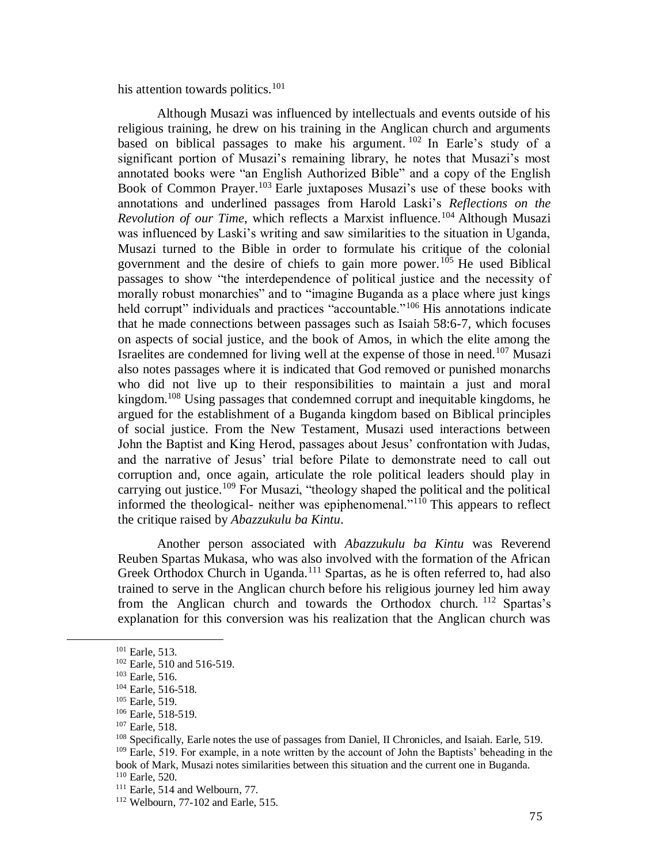his attention towards politics.<sup>101</sup>

Although Musazi was influenced by intellectuals and events outside of his religious training, he drew on his training in the Anglican church and arguments based on biblical passages to make his argument.  $102$  In Earle's study of a significant portion of Musazi's remaining library, he notes that Musazi's most annotated books were "an English Authorized Bible" and a copy of the English Book of Common Prayer.<sup>103</sup> Earle juxtaposes Musazi's use of these books with annotations and underlined passages from Harold Laski's *Reflections on the Revolution of our Time*, which reflects a Marxist influence.<sup>104</sup> Although Musazi was influenced by Laski's writing and saw similarities to the situation in Uganda, Musazi turned to the Bible in order to formulate his critique of the colonial government and the desire of chiefs to gain more power.<sup>105</sup> He used Biblical passages to show "the interdependence of political justice and the necessity of morally robust monarchies" and to "imagine Buganda as a place where just kings held corrupt" individuals and practices "accountable."<sup>106</sup> His annotations indicate that he made connections between passages such as Isaiah 58:6-7, which focuses on aspects of social justice, and the book of Amos, in which the elite among the Israelites are condemned for living well at the expense of those in need.<sup>107</sup> Musazi also notes passages where it is indicated that God removed or punished monarchs who did not live up to their responsibilities to maintain a just and moral kingdom.<sup>108</sup> Using passages that condemned corrupt and inequitable kingdoms, he argued for the establishment of a Buganda kingdom based on Biblical principles of social justice. From the New Testament, Musazi used interactions between John the Baptist and King Herod, passages about Jesus' confrontation with Judas, and the narrative of Jesus' trial before Pilate to demonstrate need to call out corruption and, once again, articulate the role political leaders should play in carrying out justice.<sup>109</sup> For Musazi, "theology shaped the political and the political informed the theological- neither was epiphenomenal."<sup>110</sup> This appears to reflect the critique raised by *Abazzukulu ba Kintu*.

Another person associated with *Abazzukulu ba Kintu* was Reverend Reuben Spartas Mukasa, who was also involved with the formation of the African Greek Orthodox Church in Uganda.<sup>111</sup> Spartas, as he is often referred to, had also trained to serve in the Anglican church before his religious journey led him away from the Anglican church and towards the Orthodox church. <sup>112</sup> Spartas's explanation for this conversion was his realization that the Anglican church was

<sup>101</sup> Earle, 513.

<sup>&</sup>lt;sup>102</sup> Earle, 510 and 516-519.

<sup>103</sup> Earle, 516.

<sup>104</sup> Earle, 516-518.

<sup>105</sup> Earle, 519.

<sup>106</sup> Earle, 518-519.

<sup>107</sup> Earle, 518.

<sup>108</sup> Specifically, Earle notes the use of passages from Daniel, II Chronicles, and Isaiah. Earle, 519. <sup>109</sup> Earle, 519. For example, in a note written by the account of John the Baptists' beheading in the book of Mark, Musazi notes similarities between this situation and the current one in Buganda. <sup>110</sup> Earle, 520.

<sup>111</sup> Earle, 514 and Welbourn, 77.

<sup>112</sup> Welbourn, 77-102 and Earle, 515.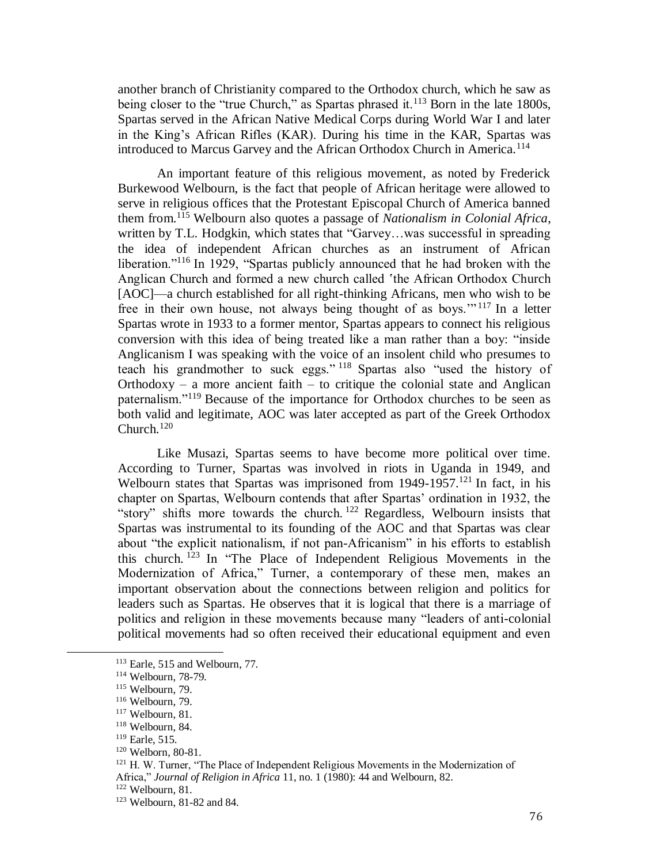another branch of Christianity compared to the Orthodox church, which he saw as being closer to the "true Church," as Spartas phrased it.<sup>113</sup> Born in the late 1800s, Spartas served in the African Native Medical Corps during World War I and later in the King's African Rifles (KAR). During his time in the KAR, Spartas was introduced to Marcus Garvey and the African Orthodox Church in America.<sup>114</sup>

An important feature of this religious movement, as noted by Frederick Burkewood Welbourn, is the fact that people of African heritage were allowed to serve in religious offices that the Protestant Episcopal Church of America banned them from.<sup>115</sup> Welbourn also quotes a passage of *Nationalism in Colonial Africa*, written by T.L. Hodgkin, which states that "Garvey...was successful in spreading the idea of independent African churches as an instrument of African liberation."<sup>116</sup> In 1929, "Spartas publicly announced that he had broken with the Anglican Church and formed a new church called 'the African Orthodox Church [AOC]—a church established for all right-thinking Africans, men who wish to be free in their own house, not always being thought of as boys."<sup> $117$ </sup> In a letter Spartas wrote in 1933 to a former mentor, Spartas appears to connect his religious conversion with this idea of being treated like a man rather than a boy: "inside Anglicanism I was speaking with the voice of an insolent child who presumes to teach his grandmother to suck eggs." <sup>118</sup> Spartas also "used the history of Orthodoxy – a more ancient faith – to critique the colonial state and Anglican paternalism."<sup>119</sup> Because of the importance for Orthodox churches to be seen as both valid and legitimate, AOC was later accepted as part of the Greek Orthodox Church. $120$ 

Like Musazi, Spartas seems to have become more political over time. According to Turner, Spartas was involved in riots in Uganda in 1949, and Welbourn states that Spartas was imprisoned from  $1949-1957$ .<sup>121</sup> In fact, in his chapter on Spartas, Welbourn contends that after Spartas' ordination in 1932, the "story" shifts more towards the church.<sup>122</sup> Regardless, Welbourn insists that Spartas was instrumental to its founding of the AOC and that Spartas was clear about "the explicit nationalism, if not pan-Africanism" in his efforts to establish this church.  $123$  In "The Place of Independent Religious Movements in the Modernization of Africa," Turner, a contemporary of these men, makes an important observation about the connections between religion and politics for leaders such as Spartas. He observes that it is logical that there is a marriage of politics and religion in these movements because many "leaders of anti-colonial political movements had so often received their educational equipment and even

<sup>113</sup> Earle, 515 and Welbourn, 77.

<sup>114</sup> Welbourn, 78-79.

<sup>115</sup> Welbourn, 79.

<sup>116</sup> Welbourn, 79.

<sup>117</sup> Welbourn, 81.

<sup>118</sup> Welbourn, 84.

<sup>119</sup> Earle, 515.

<sup>120</sup> Welborn, 80-81.

<sup>&</sup>lt;sup>121</sup> H. W. Turner, "The Place of Independent Religious Movements in the Modernization of Africa," *Journal of Religion in Africa* 11, no. 1 (1980): 44 and Welbourn, 82.

<sup>122</sup> Welbourn, 81.

<sup>123</sup> Welbourn, 81-82 and 84.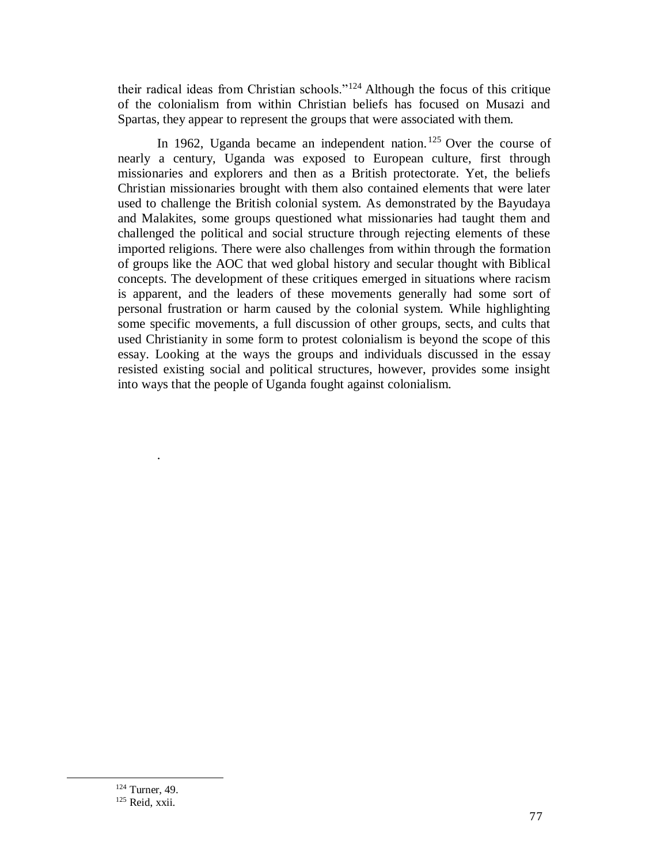their radical ideas from Christian schools."<sup>124</sup> Although the focus of this critique of the colonialism from within Christian beliefs has focused on Musazi and Spartas, they appear to represent the groups that were associated with them.

In 1962, Uganda became an independent nation.<sup>125</sup> Over the course of nearly a century, Uganda was exposed to European culture, first through missionaries and explorers and then as a British protectorate. Yet, the beliefs Christian missionaries brought with them also contained elements that were later used to challenge the British colonial system. As demonstrated by the Bayudaya and Malakites, some groups questioned what missionaries had taught them and challenged the political and social structure through rejecting elements of these imported religions. There were also challenges from within through the formation of groups like the AOC that wed global history and secular thought with Biblical concepts. The development of these critiques emerged in situations where racism is apparent, and the leaders of these movements generally had some sort of personal frustration or harm caused by the colonial system. While highlighting some specific movements, a full discussion of other groups, sects, and cults that used Christianity in some form to protest colonialism is beyond the scope of this essay. Looking at the ways the groups and individuals discussed in the essay resisted existing social and political structures, however, provides some insight into ways that the people of Uganda fought against colonialism.

 $\overline{a}$ 

.

<sup>&</sup>lt;sup>124</sup> Turner, 49. <sup>125</sup> Reid, xxii.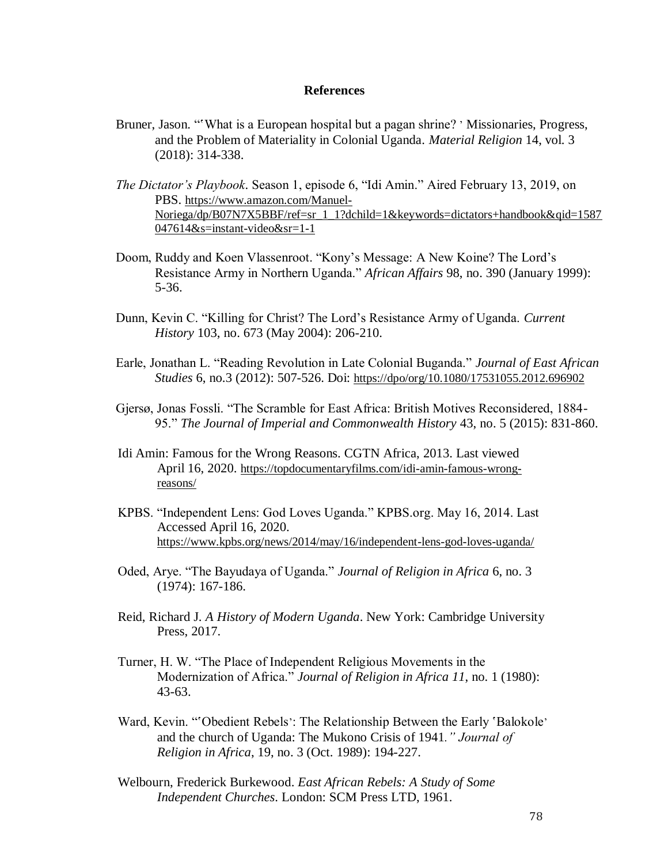#### **References**

- Bruner, Jason. "What is a European hospital but a pagan shrine? 'Missionaries, Progress, and the Problem of Materiality in Colonial Uganda. *Material Religion* 14, vol. 3 (2018): 314-338.
- *The Dictator's Playbook*. Season 1, episode 6, "Idi Amin." Aired February 13, 2019, on PBS. [https://www.amazon.com/Manuel-](https://www.amazon.com/Manuel-Noriega/dp/B07N7X5BBF/ref=sr_1_1?dchild=1&keywords=dictators+handbook&qid=1587047614&s=instant-video&sr=1-1)[Noriega/dp/B07N7X5BBF/ref=sr\\_1\\_1?dchild=1&keywords=dictators+handbook&qid=1587](https://www.amazon.com/Manuel-Noriega/dp/B07N7X5BBF/ref=sr_1_1?dchild=1&keywords=dictators+handbook&qid=1587047614&s=instant-video&sr=1-1)  $047614&s=instant-video&sr=1-1$
- Doom, Ruddy and Koen Vlassenroot. "Kony's Message: A New Koine? The Lord's Resistance Army in Northern Uganda." *African Affairs* 98, no. 390 (January 1999): 5-36.
- Dunn, Kevin C. "Killing for Christ? The Lord's Resistance Army of Uganda. *Current History* 103, no. 673 (May 2004): 206-210.
- Earle, Jonathan L. "Reading Revolution in Late Colonial Buganda." *Journal of East African Studies* 6, no.3 (2012): 507-526. Doi: <https://dpo/org/10.1080/17531055.2012.696902>
- Gjersø, Jonas Fossli. "The Scramble for East Africa: British Motives Reconsidered, 1884- 95." *The Journal of Imperial and Commonwealth History* 43, no. 5 (2015): 831-860.
- Idi Amin: Famous for the Wrong Reasons. CGTN Africa, 2013. Last viewed April 16, 2020. [https://topdocumentaryfilms.com/idi-amin-famous-wrong](https://topdocumentaryfilms.com/idi-amin-famous-wrong-reasons/)[reasons/](https://topdocumentaryfilms.com/idi-amin-famous-wrong-reasons/)
- KPBS. "Independent Lens: God Loves Uganda." KPBS.org. May 16, 2014. Last Accessed April 16, 2020. <https://www.kpbs.org/news/2014/may/16/independent-lens-god-loves-uganda/>
- Oded, Arye. "The Bayudaya of Uganda." *Journal of Religion in Africa* 6, no. 3 (1974): 167-186.
- Reid, Richard J. *A History of Modern Uganda*. New York: Cambridge University Press, 2017.
- Turner, H. W. "The Place of Independent Religious Movements in the Modernization of Africa." *Journal of Religion in Africa 11*, no. 1 (1980): 43-63.
- Ward, Kevin. ""Obedient Rebels": The Relationship Between the Early 'Balokole' and the church of Uganda: The Mukono Crisis of 1941*." Journal of Religion in Africa*, 19, no. 3 (Oct. 1989): 194-227.
- Welbourn, Frederick Burkewood. *East African Rebels: A Study of Some Independent Churches*. London: SCM Press LTD, 1961.